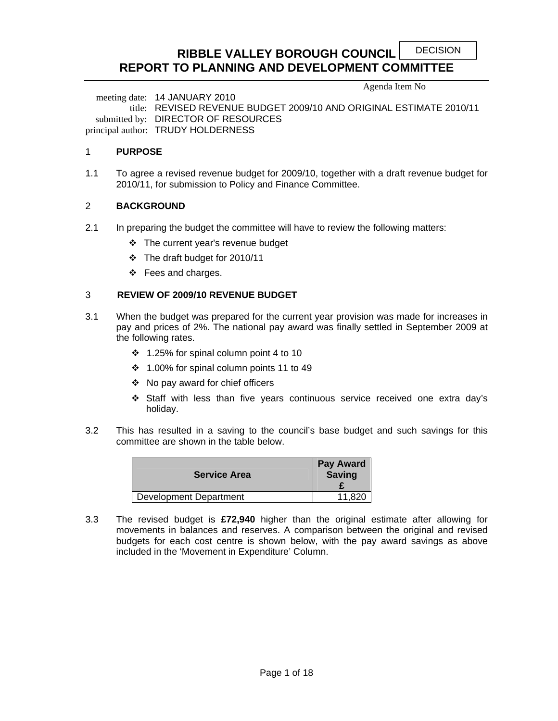DECISION

# **RIBBLE VALLEY BOROUGH COUNCIL REPORT TO PLANNING AND DEVELOPMENT COMMITTEE**

Agenda Item No

 meeting date: 14 JANUARY 2010 title: REVISED REVENUE BUDGET 2009/10 AND ORIGINAL ESTIMATE 2010/11 submitted by: DIRECTOR OF RESOURCES principal author: TRUDY HOLDERNESS

### 1 **PURPOSE**

1.1 To agree a revised revenue budget for 2009/10, together with a draft revenue budget for 2010/11, for submission to Policy and Finance Committee.

### 2 **BACKGROUND**

- 2.1 In preparing the budget the committee will have to review the following matters:
	- The current year's revenue budget
	- The draft budget for 2010/11
	- $\div$  Fees and charges.

### 3 **REVIEW OF 2009/10 REVENUE BUDGET**

- 3.1 When the budget was prepared for the current year provision was made for increases in pay and prices of 2%. The national pay award was finally settled in September 2009 at the following rates.
	- $\div$  1.25% for spinal column point 4 to 10
	- 1.00% for spinal column points 11 to 49
	- No pay award for chief officers
	- Staff with less than five years continuous service received one extra day's holiday.
- 3.2 This has resulted in a saving to the council's base budget and such savings for this committee are shown in the table below.

| <b>Service Area</b>           | <b>Pay Award</b><br><b>Saving</b> |
|-------------------------------|-----------------------------------|
| <b>Development Department</b> | 11.820                            |

3.3 The revised budget is **£72,940** higher than the original estimate after allowing for movements in balances and reserves. A comparison between the original and revised budgets for each cost centre is shown below, with the pay award savings as above included in the 'Movement in Expenditure' Column.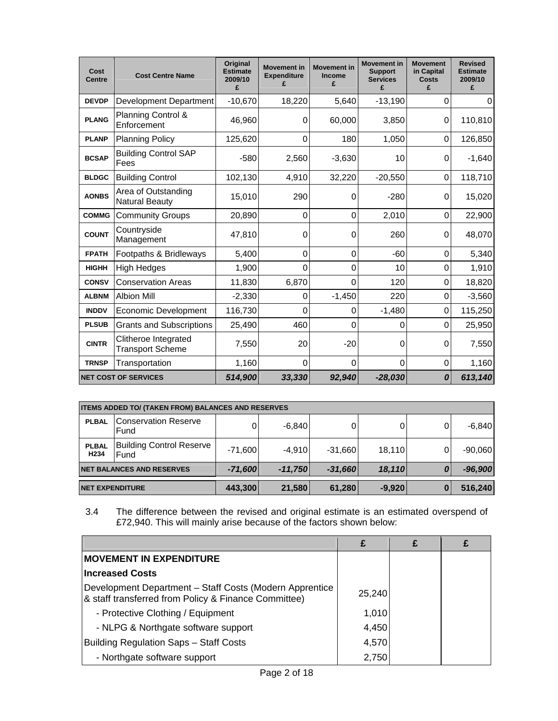| Cost<br><b>Centre</b> | <b>Cost Centre Name</b>                         | Original<br><b>Estimate</b><br>2009/10<br>£ | <b>Movement in</b><br><b>Expenditure</b><br>£ | <b>Movement in</b><br>Income<br>£ | <b>Movement in</b><br><b>Support</b><br><b>Services</b><br>£ | <b>Movement</b><br>in Capital<br><b>Costs</b><br>£ | <b>Revised</b><br><b>Estimate</b><br>2009/10<br>£ |
|-----------------------|-------------------------------------------------|---------------------------------------------|-----------------------------------------------|-----------------------------------|--------------------------------------------------------------|----------------------------------------------------|---------------------------------------------------|
| <b>DEVDP</b>          | <b>Development Department</b>                   | $-10,670$                                   | 18,220                                        | 5,640                             | $-13,190$                                                    | $\mathbf 0$                                        | $\Omega$                                          |
| <b>PLANG</b>          | Planning Control &<br>Enforcement               | 46,960                                      | 0                                             | 60,000                            | 3,850                                                        | 0                                                  | 110,810                                           |
| <b>PLANP</b>          | <b>Planning Policy</b>                          | 125,620                                     | $\mathbf 0$                                   | 180                               | 1,050                                                        | 0                                                  | 126,850                                           |
| <b>BCSAP</b>          | <b>Building Control SAP</b><br>Fees             | $-580$                                      | 2,560                                         | $-3,630$                          | 10                                                           | 0                                                  | $-1,640$                                          |
| <b>BLDGC</b>          | <b>Building Control</b>                         | 102,130                                     | 4,910                                         | 32,220                            | $-20,550$                                                    | 0                                                  | 118,710                                           |
| <b>AONBS</b>          | Area of Outstanding<br><b>Natural Beauty</b>    | 15,010                                      | 290                                           | 0                                 | $-280$                                                       | 0                                                  | 15,020                                            |
| <b>COMMG</b>          | <b>Community Groups</b>                         | 20,890                                      | 0                                             | 0                                 | 2,010                                                        | 0                                                  | 22,900                                            |
| <b>COUNT</b>          | Countryside<br>Management                       | 47,810                                      | 0                                             | 0                                 | 260                                                          | 0                                                  | 48,070                                            |
| <b>FPATH</b>          | Footpaths & Bridleways                          | 5,400                                       | 0                                             | 0                                 | $-60$                                                        | $\Omega$                                           | 5,340                                             |
| <b>HIGHH</b>          | <b>High Hedges</b>                              | 1,900                                       | 0                                             | 0                                 | 10                                                           | 0                                                  | 1,910                                             |
| <b>CONSV</b>          | <b>Conservation Areas</b>                       | 11,830                                      | 6,870                                         | 0                                 | 120                                                          | 0                                                  | 18,820                                            |
| <b>ALBNM</b>          | <b>Albion Mill</b>                              | $-2,330$                                    | 0                                             | $-1,450$                          | 220                                                          | 0                                                  | $-3,560$                                          |
| <b>INDDV</b>          | <b>Economic Development</b>                     | 116,730                                     | 0                                             | 0                                 | $-1,480$                                                     | 0                                                  | 115,250                                           |
| <b>PLSUB</b>          | <b>Grants and Subscriptions</b>                 | 25,490                                      | 460                                           | 0                                 | 0                                                            | $\Omega$                                           | 25,950                                            |
| <b>CINTR</b>          | Clitheroe Integrated<br><b>Transport Scheme</b> | 7,550                                       | 20                                            | $-20$                             | 0                                                            | 0                                                  | 7,550                                             |
| <b>TRNSP</b>          | Transportation                                  | 1,160                                       | $\mathbf 0$                                   | 0                                 | 0                                                            | 0                                                  | 1,160                                             |
|                       | <b>NET COST OF SERVICES</b>                     | 514,900                                     | 33,330                                        | 92,940                            | $-28,030$                                                    | 0                                                  | 613,140                                           |

|                                                       | <b>ITEMS ADDED TO/ (TAKEN FROM) BALANCES AND RESERVES</b> |           |           |           |        |               |           |  |  |  |
|-------------------------------------------------------|-----------------------------------------------------------|-----------|-----------|-----------|--------|---------------|-----------|--|--|--|
| <b>PLBAL</b>                                          | <b>Conservation Reserve</b><br>Fund                       | $\Omega$  | $-6.840$  |           | 0      | 0             | $-6.840$  |  |  |  |
| <b>PLBAL</b><br>H <sub>234</sub>                      | <b>Building Control Reserve</b><br>Fund                   | $-71,600$ | $-4.910$  | $-31.660$ | 18.110 | 0             | $-90,060$ |  |  |  |
|                                                       | <b>NET BALANCES AND RESERVES</b>                          | $-71,600$ | $-11,750$ | $-31,660$ | 18,110 | 0             | $-96,900$ |  |  |  |
| 21,580<br>61,280<br>443,300<br><b>NET EXPENDITURE</b> |                                                           |           |           |           |        | $-9,920$<br>0 | 516,240   |  |  |  |

3.4 The difference between the revised and original estimate is an estimated overspend of £72,940. This will mainly arise because of the factors shown below:

|                                                                                                                 | £      | £ |  |
|-----------------------------------------------------------------------------------------------------------------|--------|---|--|
| <b>IMOVEMENT IN EXPENDITURE</b>                                                                                 |        |   |  |
| <b>Increased Costs</b>                                                                                          |        |   |  |
| Development Department - Staff Costs (Modern Apprentice<br>& staff transferred from Policy & Finance Committee) | 25,240 |   |  |
| - Protective Clothing / Equipment                                                                               | 1,010  |   |  |
| - NLPG & Northgate software support                                                                             | 4,450  |   |  |
| <b>Building Regulation Saps - Staff Costs</b>                                                                   | 4,570  |   |  |
| - Northgate software support                                                                                    | 2,750  |   |  |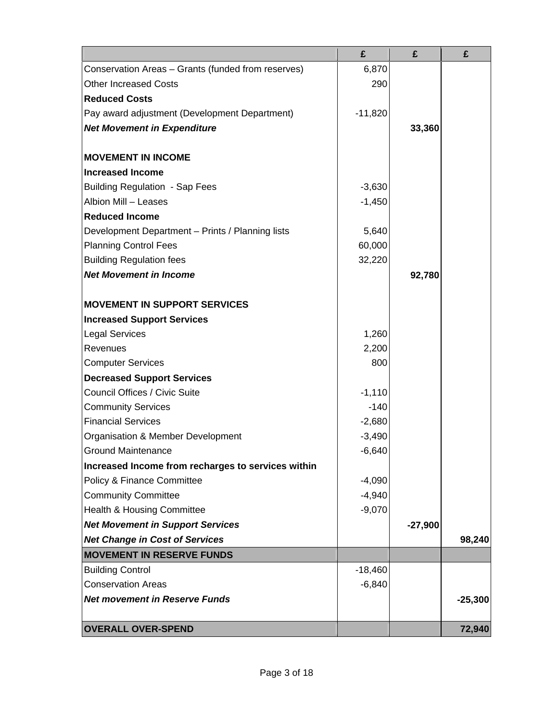|                                                    | £         | £         | £         |
|----------------------------------------------------|-----------|-----------|-----------|
| Conservation Areas - Grants (funded from reserves) | 6,870     |           |           |
| <b>Other Increased Costs</b>                       | 290       |           |           |
| <b>Reduced Costs</b>                               |           |           |           |
| Pay award adjustment (Development Department)      | $-11,820$ |           |           |
| <b>Net Movement in Expenditure</b>                 |           | 33,360    |           |
|                                                    |           |           |           |
| <b>MOVEMENT IN INCOME</b>                          |           |           |           |
| <b>Increased Income</b>                            |           |           |           |
| <b>Building Regulation - Sap Fees</b>              | $-3,630$  |           |           |
| Albion Mill - Leases                               | $-1,450$  |           |           |
| <b>Reduced Income</b>                              |           |           |           |
| Development Department - Prints / Planning lists   | 5,640     |           |           |
| <b>Planning Control Fees</b>                       | 60,000    |           |           |
| <b>Building Regulation fees</b>                    | 32,220    |           |           |
| <b>Net Movement in Income</b>                      |           | 92,780    |           |
|                                                    |           |           |           |
| <b>MOVEMENT IN SUPPORT SERVICES</b>                |           |           |           |
| <b>Increased Support Services</b>                  |           |           |           |
| <b>Legal Services</b>                              | 1,260     |           |           |
| Revenues                                           | 2,200     |           |           |
| <b>Computer Services</b>                           | 800       |           |           |
| <b>Decreased Support Services</b>                  |           |           |           |
| Council Offices / Civic Suite                      | $-1,110$  |           |           |
| <b>Community Services</b>                          | $-140$    |           |           |
| <b>Financial Services</b>                          | $-2,680$  |           |           |
| Organisation & Member Development                  | $-3,490$  |           |           |
| <b>Ground Maintenance</b>                          | $-6,640$  |           |           |
| Increased Income from recharges to services within |           |           |           |
| Policy & Finance Committee                         | $-4,090$  |           |           |
| <b>Community Committee</b>                         | $-4,940$  |           |           |
| <b>Health &amp; Housing Committee</b>              | $-9,070$  |           |           |
| <b>Net Movement in Support Services</b>            |           | $-27,900$ |           |
| <b>Net Change in Cost of Services</b>              |           |           | 98,240    |
| <b>MOVEMENT IN RESERVE FUNDS</b>                   |           |           |           |
| <b>Building Control</b>                            | $-18,460$ |           |           |
| <b>Conservation Areas</b>                          | $-6,840$  |           |           |
| <b>Net movement in Reserve Funds</b>               |           |           | $-25,300$ |
|                                                    |           |           |           |
| <b>OVERALL OVER-SPEND</b>                          |           |           | 72,940    |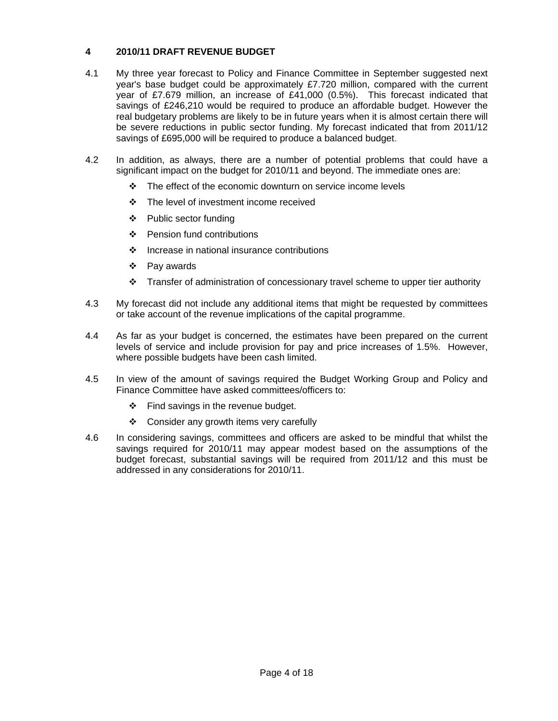## **4 2010/11 DRAFT REVENUE BUDGET**

- 4.1 My three year forecast to Policy and Finance Committee in September suggested next year's base budget could be approximately £7.720 million, compared with the current year of £7.679 million, an increase of £41,000 (0.5%). This forecast indicated that savings of £246,210 would be required to produce an affordable budget. However the real budgetary problems are likely to be in future years when it is almost certain there will be severe reductions in public sector funding. My forecast indicated that from 2011/12 savings of £695,000 will be required to produce a balanced budget.
- 4.2 In addition, as always, there are a number of potential problems that could have a significant impact on the budget for 2010/11 and beyond. The immediate ones are:
	- $\cdot \cdot$  The effect of the economic downturn on service income levels
	- ❖ The level of investment income received
	- $\div$  Public sector funding
	- Pension fund contributions
	- $\div$  Increase in national insurance contributions
	- ❖ Pay awards
	- $\div$  Transfer of administration of concessionary travel scheme to upper tier authority
- 4.3 My forecast did not include any additional items that might be requested by committees or take account of the revenue implications of the capital programme.
- 4.4 As far as your budget is concerned, the estimates have been prepared on the current levels of service and include provision for pay and price increases of 1.5%. However, where possible budgets have been cash limited.
- 4.5 In view of the amount of savings required the Budget Working Group and Policy and Finance Committee have asked committees/officers to:
	- $\div$  Find savings in the revenue budget.
	- ❖ Consider any growth items very carefully
- 4.6 In considering savings, committees and officers are asked to be mindful that whilst the savings required for 2010/11 may appear modest based on the assumptions of the budget forecast, substantial savings will be required from 2011/12 and this must be addressed in any considerations for 2010/11.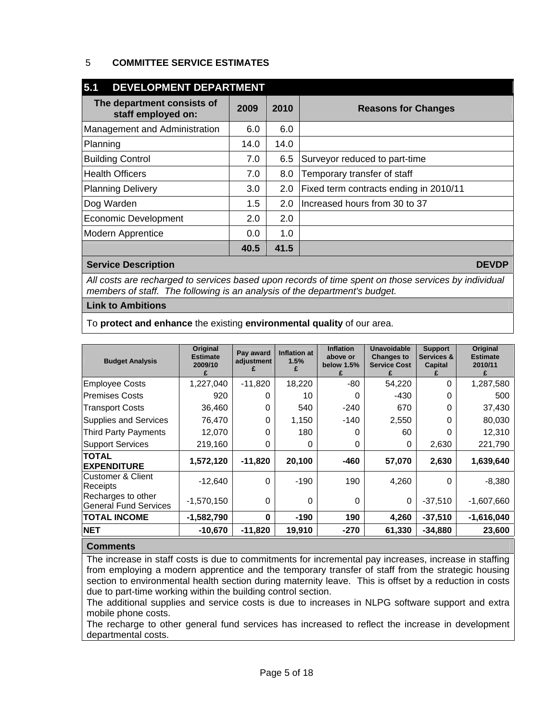## 5 **COMMITTEE SERVICE ESTIMATES**

| 5.1<br>DEVELOPMENT DEPARTMENT                    |      |      |                                        |  |  |  |  |  |
|--------------------------------------------------|------|------|----------------------------------------|--|--|--|--|--|
| The department consists of<br>staff employed on: | 2009 | 2010 | <b>Reasons for Changes</b>             |  |  |  |  |  |
| Management and Administration                    | 6.0  | 6.0  |                                        |  |  |  |  |  |
| Planning                                         | 14.0 | 14.0 |                                        |  |  |  |  |  |
| <b>Building Control</b>                          | 7.0  | 6.5  | Surveyor reduced to part-time          |  |  |  |  |  |
| <b>Health Officers</b>                           | 7.0  | 8.0  | Temporary transfer of staff            |  |  |  |  |  |
| <b>Planning Delivery</b>                         | 3.0  | 2.0  | Fixed term contracts ending in 2010/11 |  |  |  |  |  |
| Dog Warden                                       | 1.5  | 2.0  | Increased hours from 30 to 37          |  |  |  |  |  |
| <b>Economic Development</b>                      | 2.0  | 2.0  |                                        |  |  |  |  |  |
| <b>Modern Apprentice</b>                         | 0.0  | 1.0  |                                        |  |  |  |  |  |
|                                                  | 40.5 | 41.5 |                                        |  |  |  |  |  |

### **Service Description DEVDP**

*All costs are recharged to services based upon records of time spent on those services by individual members of staff. The following is an analysis of the department's budget.* 

### **Link to Ambitions**

To **protect and enhance** the existing **environmental quality** of our area.

| <b>Budget Analysis</b>                             | Original<br><b>Estimate</b><br>2009/10 | Pay award<br>adjustment | <b>Inflation at</b><br>1.5% | <b>Inflation</b><br>above or<br>below 1.5% | <b>Unavoidable</b><br><b>Changes to</b><br><b>Service Cost</b> | <b>Support</b><br>Services &<br>Capital | <b>Original</b><br><b>Estimate</b><br>2010/11 |
|----------------------------------------------------|----------------------------------------|-------------------------|-----------------------------|--------------------------------------------|----------------------------------------------------------------|-----------------------------------------|-----------------------------------------------|
| <b>Employee Costs</b>                              | 1,227,040                              | $-11,820$               | 18,220                      | -80                                        | 54,220                                                         | $\Omega$                                | 1,287,580                                     |
| <b>Premises Costs</b>                              | 920                                    | 0                       | 10                          | O                                          | -430                                                           | 0                                       | 500                                           |
| <b>Transport Costs</b>                             | 36,460                                 | 0                       | 540                         | $-240$                                     | 670                                                            | 0                                       | 37,430                                        |
| <b>Supplies and Services</b>                       | 76,470                                 | 0                       | 1,150                       | -140                                       | 2,550                                                          |                                         | 80,030                                        |
| <b>Third Party Payments</b>                        | 12,070                                 | 0                       | 180                         | 0                                          | 60                                                             | O                                       | 12,310                                        |
| <b>Support Services</b>                            | 219,160                                | 0                       | 0                           | 0                                          | 0                                                              | 2,630                                   | 221,790                                       |
| <b>TOTAL</b><br><b>EXPENDITURE</b>                 | 1,572,120                              | $-11,820$               | 20,100                      | -460                                       | 57,070                                                         | 2,630                                   | 1,639,640                                     |
| <b>Customer &amp; Client</b><br>Receipts           | $-12,640$                              | $\Omega$                | $-190$                      | 190                                        | 4,260                                                          | $\Omega$                                | $-8,380$                                      |
| Recharges to other<br><b>General Fund Services</b> | $-1,570,150$                           | 0                       | 0                           | 0                                          | 0                                                              | $-37,510$                               | $-1,607,660$                                  |
| <b>TOTAL INCOME</b>                                | $-1,582,790$                           | 0                       | $-190$                      | 190                                        | 4,260                                                          | $-37,510$                               | $-1,616,040$                                  |
| <b>NET</b>                                         | $-10,670$                              | $-11,820$               | 19,910                      | -270                                       | 61,330                                                         | $-34,880$                               | 23,600                                        |

### **Comments**

The increase in staff costs is due to commitments for incremental pay increases, increase in staffing from employing a modern apprentice and the temporary transfer of staff from the strategic housing section to environmental health section during maternity leave. This is offset by a reduction in costs due to part-time working within the building control section.

The additional supplies and service costs is due to increases in NLPG software support and extra mobile phone costs.

The recharge to other general fund services has increased to reflect the increase in development departmental costs.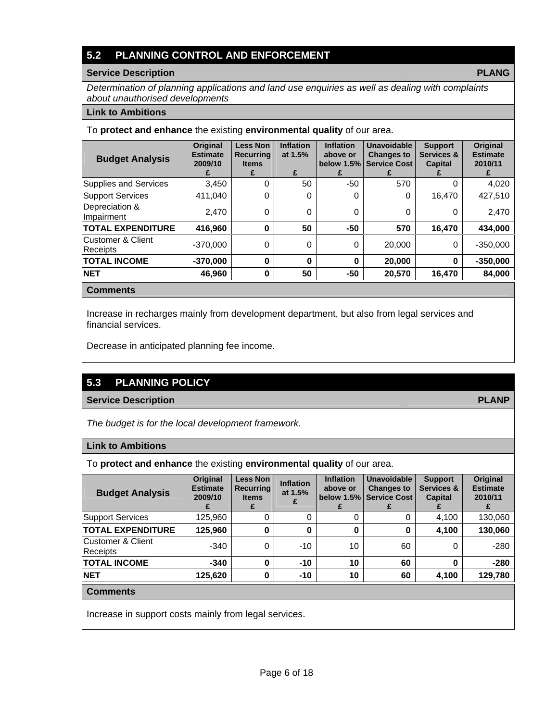# **5.2 PLANNING CONTROL AND ENFORCEMENT**

### **Service Description PLANG**

*Determination of planning applications and land use enquiries as well as dealing with complaints about unauthorised developments* 

#### **Link to Ambitions**

### To **protect and enhance** the existing **environmental quality** of our area.

| <b>Budget Analysis</b>                   | Original<br><b>Estimate</b><br>2009/10<br>£ | <b>Less Non</b><br><b>Recurring</b><br><b>Items</b><br>£ | <b>Inflation</b><br>at 1.5%<br>£ | <b>Inflation</b><br>above or<br>below $1.5\%$<br>£ | <b>Unavoidable</b><br><b>Changes to</b><br><b>Service Cost</b> | <b>Support</b><br><b>Services &amp;</b><br><b>Capital</b> | <b>Original</b><br><b>Estimate</b><br>2010/11 |
|------------------------------------------|---------------------------------------------|----------------------------------------------------------|----------------------------------|----------------------------------------------------|----------------------------------------------------------------|-----------------------------------------------------------|-----------------------------------------------|
| <b>Supplies and Services</b>             | 3,450                                       | 0                                                        | 50                               | $-50$                                              | 570                                                            | 0                                                         | 4,020                                         |
| <b>Support Services</b>                  | 411,040                                     | 0                                                        | $\Omega$                         | 0                                                  | 0                                                              | 16.470                                                    | 427,510                                       |
| Depreciation &<br>Impairment             | 2.470                                       | 0                                                        | $\Omega$                         | 0                                                  | 0                                                              | 0                                                         | 2,470                                         |
| <b>TOTAL EXPENDITURE</b>                 | 416,960                                     | $\bf{0}$                                                 | 50                               | $-50$                                              | 570                                                            | 16,470                                                    | 434,000                                       |
| <b>Customer &amp; Client</b><br>Receipts | $-370.000$                                  | $\Omega$                                                 | 0                                | $\Omega$                                           | 20,000                                                         | 0                                                         | $-350.000$                                    |
| <b>TOTAL INCOME</b>                      | $-370,000$                                  | $\bf{0}$                                                 | 0                                | $\bf{0}$                                           | 20,000                                                         | 0                                                         | $-350,000$                                    |
| <b>NET</b>                               | 46,960                                      | $\bf{0}$                                                 | 50                               | -50                                                | 20,570                                                         | 16,470                                                    | 84,000                                        |

#### **Comments**

Increase in recharges mainly from development department, but also from legal services and financial services.

Decrease in anticipated planning fee income.

# **5.3 PLANNING POLICY**

### **Service Description PLANP**

*The budget is for the local development framework.* 

### **Link to Ambitions**

To **protect and enhance** the existing **environmental quality** of our area.

| <b>Budget Analysis</b>                | <b>Original</b><br><b>Estimate</b><br>2009/10 | <b>Less Non</b><br><b>Recurring</b><br><b>Items</b> | <b>Inflation</b><br>at 1.5% | <b>Inflation</b><br>above or | <b>Unavoidable</b><br><b>Changes to</b><br>below 1.5% Service Cost | <b>Support</b><br>Services &<br><b>Capital</b> | Original<br><b>Estimate</b><br>2010/11 |
|---------------------------------------|-----------------------------------------------|-----------------------------------------------------|-----------------------------|------------------------------|--------------------------------------------------------------------|------------------------------------------------|----------------------------------------|
| Support Services                      | 125,960                                       |                                                     |                             |                              | 0                                                                  | 4,100                                          | 130,060                                |
| <b>TOTAL EXPENDITURE</b>              | 125,960                                       | 0                                                   | 0                           | 0                            | 0                                                                  | 4,100                                          | 130,060                                |
| lCustomer & Client<br><b>Receipts</b> | $-340$                                        | 0                                                   | $-10$                       | 10                           | 60                                                                 | 0                                              | $-280$                                 |
| <b>TOTAL INCOME</b>                   | $-340$                                        | $\bf{0}$                                            | $-10$                       | 10                           | 60                                                                 | 0                                              | $-280$                                 |
| <b>NET</b>                            | 125.620                                       | $\bf{0}$                                            | $-10$                       | 10                           | 60                                                                 | 4,100                                          | 129,780                                |
|                                       |                                               |                                                     |                             |                              |                                                                    |                                                |                                        |

### **Comments**

Increase in support costs mainly from legal services.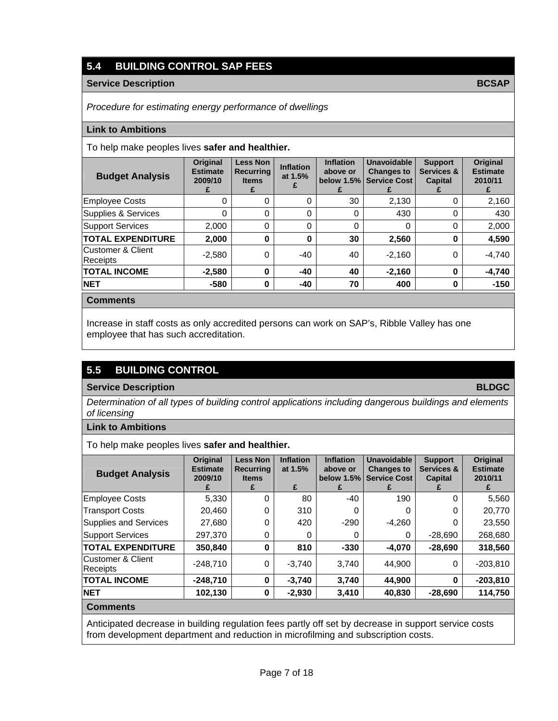# **5.4 BUILDING CONTROL SAP FEES**

### **Service Description BCSAP**

*Procedure for estimating energy performance of dwellings* 

#### **Link to Ambitions**

#### To help make peoples lives **safer and healthier.**

| <b>Budget Analysis</b>         | <b>Original</b><br><b>Estimate</b><br>2009/10 | <b>Less Non</b><br><b>Recurring</b><br><b>Items</b><br>£ | <b>Inflation</b><br>at 1.5% | <b>Inflation</b><br>above or<br>below $1.5\%$<br>Ł. | Unavoidable<br><b>Changes to</b><br><b>Service Cost</b> | <b>Support</b><br>Services &<br><b>Capital</b> | <b>Original</b><br><b>Estimate</b><br>2010/11 |
|--------------------------------|-----------------------------------------------|----------------------------------------------------------|-----------------------------|-----------------------------------------------------|---------------------------------------------------------|------------------------------------------------|-----------------------------------------------|
| Employee Costs                 | 0                                             | $\Omega$                                                 | 0                           | 30                                                  | 2,130                                                   | 0                                              | 2,160                                         |
| Supplies & Services            | 0                                             | $\Omega$                                                 | 0                           | 0                                                   | 430                                                     | 0                                              | 430                                           |
| <b>Support Services</b>        | 2.000                                         | $\Omega$                                                 | $\Omega$                    | $\Omega$                                            | $\Omega$                                                | 0                                              | 2,000                                         |
| <b>TOTAL EXPENDITURE</b>       | 2,000                                         | $\bf{0}$                                                 | 0                           | 30                                                  | 2,560                                                   | 0                                              | 4,590                                         |
| lCustomer & Client<br>Receipts | $-2,580$                                      | $\Omega$                                                 | $-40$                       | 40                                                  | $-2.160$                                                | 0                                              | $-4.740$                                      |
| <b>TOTAL INCOME</b>            | $-2,580$                                      | $\bf{0}$                                                 | -40                         | 40                                                  | $-2,160$                                                | 0                                              | $-4.740$                                      |
| <b>NET</b>                     | $-580$                                        | $\bf{0}$                                                 | -40                         | 70                                                  | 400                                                     | 0                                              | $-150$                                        |
| <b>Comments</b>                |                                               |                                                          |                             |                                                     |                                                         |                                                |                                               |

### Increase in staff costs as only accredited persons can work on SAP's, Ribble Valley has one employee that has such accreditation.

# **5.5 BUILDING CONTROL**

### **Service Description BLDGC**

*Determination of all types of building control applications including dangerous buildings and elements of licensing* 

### **Link to Ambitions**

To help make peoples lives **safer and healthier.**

| <b>Budget Analysis</b>        | Original<br><b>Estimate</b><br>2009/10 | <b>Less Non</b><br><b>Recurring</b><br><b>Items</b><br>£ | <b>Inflation</b><br>at 1.5%<br>£ | <b>Inflation</b><br>above or<br>below $1.5%$<br>£ | <b>Unavoidable</b><br><b>Changes to</b><br><b>Service Cost</b> | <b>Support</b><br><b>Services &amp;</b><br><b>Capital</b> | <b>Original</b><br><b>Estimate</b><br>2010/11<br>£. |
|-------------------------------|----------------------------------------|----------------------------------------------------------|----------------------------------|---------------------------------------------------|----------------------------------------------------------------|-----------------------------------------------------------|-----------------------------------------------------|
| <b>Employee Costs</b>         | 5,330                                  | 0                                                        | 80                               | $-40$                                             | 190                                                            | $\Omega$                                                  | 5,560                                               |
| <b>Transport Costs</b>        | 20,460                                 | 0                                                        | 310                              | 0                                                 | 0                                                              | $\Omega$                                                  | 20.770                                              |
| <b>Supplies and Services</b>  | 27,680                                 | 0                                                        | 420                              | $-290$                                            | $-4,260$                                                       | 0                                                         | 23,550                                              |
| <b>Support Services</b>       | 297,370                                | 0                                                        | 0                                | 0                                                 | 0                                                              | $-28,690$                                                 | 268,680                                             |
| <b>TOTAL EXPENDITURE</b>      | 350,840                                | 0                                                        | 810                              | $-330$                                            | $-4,070$                                                       | $-28.690$                                                 | 318,560                                             |
| Customer & Client<br>Receipts | $-248.710$                             | $\Omega$                                                 | $-3,740$                         | 3,740                                             | 44.900                                                         | 0                                                         | $-203.810$                                          |
| <b>TOTAL INCOME</b>           | $-248,710$                             | 0                                                        | $-3,740$                         | 3,740                                             | 44.900                                                         | 0                                                         | $-203,810$                                          |
| <b>NET</b>                    | 102,130                                | 0                                                        | $-2,930$                         | 3,410                                             | 40,830                                                         | $-28,690$                                                 | 114,750                                             |
| <b>Comments</b>               |                                        |                                                          |                                  |                                                   |                                                                |                                                           |                                                     |

Anticipated decrease in building regulation fees partly off set by decrease in support service costs from development department and reduction in microfilming and subscription costs.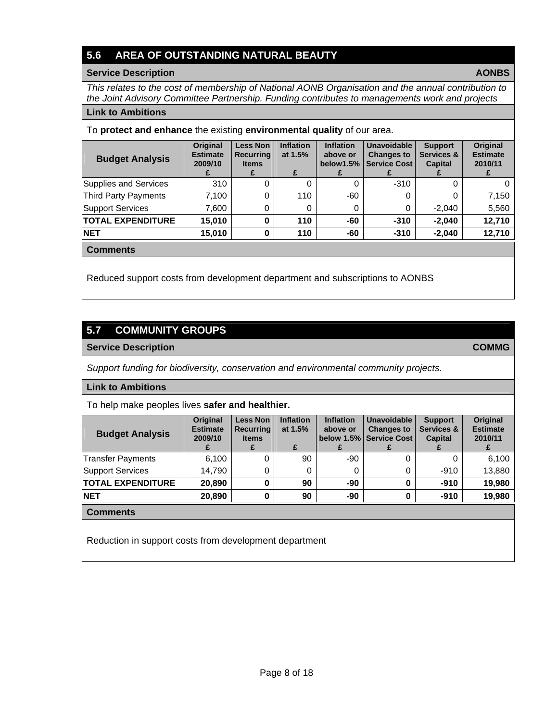# **5.6 AREA OF OUTSTANDING NATURAL BEAUTY**

#### **Service Description AONBS**

*This relates to the cost of membership of National AONB Organisation and the annual contribution to the Joint Advisory Committee Partnership. Funding contributes to managements work and projects* 

### **Link to Ambitions**

To **protect and enhance** the existing **environmental quality** of our area.

| <b>Budget Analysis</b>   | <b>Original</b><br><b>Estimate</b><br>2009/10 | <b>Less Non</b><br><b>Recurring</b><br><b>Items</b> | <b>Inflation</b><br>at $1.5%$<br>£ | <b>Inflation</b><br>above or<br>below1.5% | <b>Unavoidable</b><br><b>Changes to</b><br><b>Service Cost</b> | <b>Support</b><br>Services &<br><b>Capital</b> | Original<br><b>Estimate</b><br>2010/11<br>£ |
|--------------------------|-----------------------------------------------|-----------------------------------------------------|------------------------------------|-------------------------------------------|----------------------------------------------------------------|------------------------------------------------|---------------------------------------------|
| Supplies and Services    | 310                                           | 0                                                   |                                    |                                           | $-310$                                                         |                                                |                                             |
| Third Party Payments     | 7.100                                         | 0                                                   | 110                                | -60                                       | 0                                                              |                                                | 7,150                                       |
| <b>Support Services</b>  | 7,600                                         | 0                                                   |                                    |                                           | 0                                                              | $-2.040$                                       | 5,560                                       |
| <b>TOTAL EXPENDITURE</b> | 15,010                                        | 0                                                   | 110                                | -60                                       | $-310$                                                         | $-2.040$                                       | 12,710                                      |
| <b>NET</b>               | 15,010                                        | 0                                                   | 110                                | -60                                       | $-310$                                                         | $-2.040$                                       | 12,710                                      |

**Comments** 

Reduced support costs from development department and subscriptions to AONBS

# **5.7 COMMUNITY GROUPS**

### **Service Description COMMG**

*Support funding for biodiversity, conservation and environmental community projects.* 

### **Link to Ambitions**

To help make peoples lives **safer and healthier.** 

| <b>Budget Analysis</b>   | <b>Original</b><br><b>Estimate</b><br>2009/10 | <b>Less Non</b><br><b>Recurring</b><br><b>Items</b> | <b>Inflation</b><br>at 1.5%<br>£ | <b>Inflation</b><br>above or | <b>Unavoidable</b><br><b>Changes to</b><br>below 1.5% Service Cost | <b>Support</b><br>Services &<br><b>Capital</b> | <b>Original</b><br><b>Estimate</b><br>2010/11 |
|--------------------------|-----------------------------------------------|-----------------------------------------------------|----------------------------------|------------------------------|--------------------------------------------------------------------|------------------------------------------------|-----------------------------------------------|
| Transfer Payments        | 6,100                                         |                                                     | 90                               | $-90$                        | 0                                                                  |                                                | 6,100                                         |
| Support Services         | 14.790                                        | 0                                                   |                                  |                              | 0                                                                  | $-910$                                         | 13,880                                        |
| <b>TOTAL EXPENDITURE</b> | 20,890                                        | 0                                                   | 90                               | -90                          | 0                                                                  | $-910$                                         | 19,980                                        |
| <b>NET</b>               | 20,890                                        | 0                                                   | 90                               | -90                          | 0                                                                  | $-910$                                         | 19,980                                        |
| <b>Comments</b>          |                                               |                                                     |                                  |                              |                                                                    |                                                |                                               |

Reduction in support costs from development department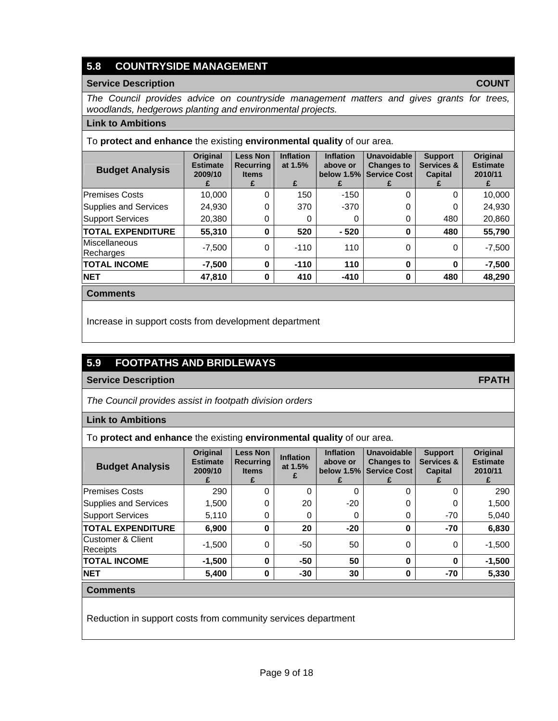# **5.8 COUNTRYSIDE MANAGEMENT**

### **Service Description COUNT**

*The Council provides advice on countryside management matters and gives grants for trees, woodlands, hedgerows planting and environmental projects.* 

### **Link to Ambitions**

To **protect and enhance** the existing **environmental quality** of our area.

| <b>Budget Analysis</b>            | Original<br><b>Estimate</b><br>2009/10 | <b>Less Non</b><br><b>Recurring</b><br><b>Items</b> | <b>Inflation</b><br><b>Unavoidable</b><br><b>Inflation</b><br><b>Support</b><br>Services &<br>at 1.5%<br><b>Changes to</b><br>above or<br><b>Service Cost</b><br>below $1.5\%$<br><b>Capital</b><br>£ |        | <b>Original</b><br><b>Estimate</b><br>2010/11 |     |          |
|-----------------------------------|----------------------------------------|-----------------------------------------------------|-------------------------------------------------------------------------------------------------------------------------------------------------------------------------------------------------------|--------|-----------------------------------------------|-----|----------|
| <b>Premises Costs</b>             | 10,000                                 | 0                                                   | 150                                                                                                                                                                                                   | $-150$ | 0                                             | 0   | 10,000   |
| Supplies and Services             | 24,930                                 | 0                                                   | 370                                                                                                                                                                                                   | $-370$ | ი                                             | 0   | 24,930   |
| <b>Support Services</b>           | 20,380                                 | 0                                                   |                                                                                                                                                                                                       | 0      | 0                                             | 480 | 20,860   |
| <b>TOTAL EXPENDITURE</b>          | 55,310                                 | 0                                                   | 520                                                                                                                                                                                                   | $-520$ | 0                                             | 480 | 55,790   |
| <b>Miscellaneous</b><br>Recharges | $-7,500$                               | 0                                                   | $-110$                                                                                                                                                                                                | 110    | 0                                             | 0   | $-7,500$ |
| <b>TOTAL INCOME</b>               | $-7.500$                               | 0                                                   | $-110$                                                                                                                                                                                                | 110    | 0                                             | 0   | $-7,500$ |
| <b>NET</b>                        | 47,810                                 | 0                                                   | 410                                                                                                                                                                                                   | $-410$ | 0                                             | 480 | 48,290   |

**Comments** 

Increase in support costs from development department

# **5.9 FOOTPATHS AND BRIDLEWAYS**

### **Service Description FPATH**

*The Council provides assist in footpath division orders* 

**Link to Ambitions**

To **protect and enhance** the existing **environmental quality** of our area.

| <b>Budget Analysis</b>        | Original<br><b>Estimate</b><br>2009/10 | <b>Less Non</b><br><b>Recurring</b><br><b>Items</b> | <b>Inflation</b><br>at 1.5% | <b>Inflation</b><br>above or | <b>Unavoidable</b><br><b>Changes to</b><br>below 1.5% Service Cost | <b>Support</b><br>Services &<br><b>Capital</b> | Original<br><b>Estimate</b><br>2010/11 |
|-------------------------------|----------------------------------------|-----------------------------------------------------|-----------------------------|------------------------------|--------------------------------------------------------------------|------------------------------------------------|----------------------------------------|
| <b>Premises Costs</b>         | 290                                    | 0                                                   | 0                           | 0                            | 0                                                                  | 0                                              | 290                                    |
| Supplies and Services         | 1,500                                  |                                                     | 20                          | $-20$                        | 0                                                                  | 0                                              | 1,500                                  |
| Support Services              | 5,110                                  | 0                                                   | 0                           | 0                            | 0                                                                  | -70                                            | 5,040                                  |
| <b>TOTAL EXPENDITURE</b>      | 6,900                                  | 0                                                   | 20                          | $-20$                        | 0                                                                  | -70                                            | 6,830                                  |
| Customer & Client<br>Receipts | $-1,500$                               | $\Omega$                                            | -50                         | 50                           | 0                                                                  | 0                                              | $-1,500$                               |
| <b>TOTAL INCOME</b>           | $-1,500$                               | $\bf{0}$                                            | $-50$                       | 50                           | $\bf{0}$                                                           | $\bf{0}$                                       | $-1,500$                               |
| <b>NET</b>                    | 5,400                                  | 0                                                   | $-30$                       | 30                           | 0                                                                  | -70                                            | 5,330                                  |
|                               |                                        |                                                     |                             |                              |                                                                    |                                                |                                        |

### **Comments**

Reduction in support costs from community services department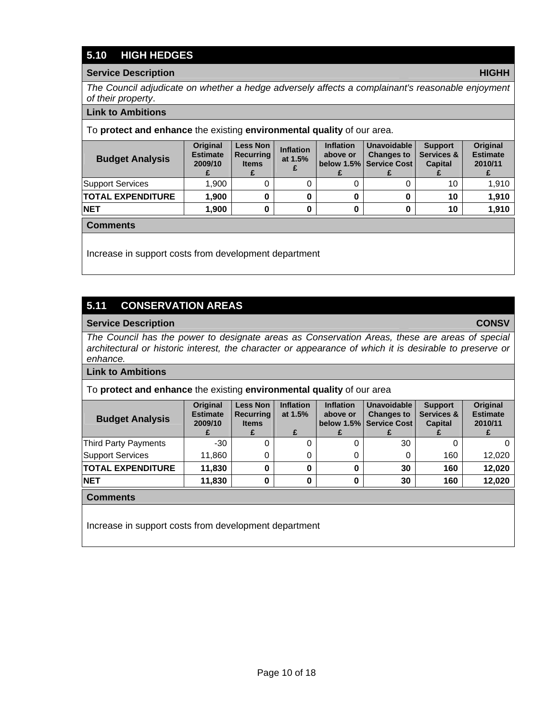# **5.10 HIGH HEDGES**

### **Service Description HIGHH**

*The Council adjudicate on whether a hedge adversely affects a complainant's reasonable enjoyment of their property*.

### **Link to Ambitions**

To **protect and enhance** the existing **environmental quality** of our area.

| <b>Budget Analysis</b>   | <b>Original</b><br><b>Estimate</b><br>2009/10 | Less Non<br><b>Recurring</b><br><b>Items</b> | <b>Inflation</b><br>at $1.5%$ | <b>Inflation</b><br>above or | <b>Unavoidable</b><br><b>Changes to</b><br>below 1.5% Service Cost | <b>Support</b><br>Services &<br><b>Capital</b> | <b>Original</b><br><b>Estimate</b><br>2010/11 |
|--------------------------|-----------------------------------------------|----------------------------------------------|-------------------------------|------------------------------|--------------------------------------------------------------------|------------------------------------------------|-----------------------------------------------|
| Support Services         | 1.900                                         |                                              |                               |                              |                                                                    | 10                                             | 1.910                                         |
| <b>TOTAL EXPENDITURE</b> | 1.900                                         |                                              |                               |                              |                                                                    | 10                                             | 1,910                                         |
| <b>NET</b>               | 1.900                                         |                                              |                               |                              |                                                                    | 10                                             | 1.910                                         |

### **Comments**

Increase in support costs from development department

## **5.11 CONSERVATION AREAS**

#### **Service Description CONSV**

*The Council has the power to designate areas as Conservation Areas, these are areas of special architectural or historic interest, the character or appearance of which it is desirable to preserve or enhance.* 

#### **Link to Ambitions**

#### To **protect and enhance** the existing **environmental quality** of our area

| <b>Budget Analysis</b>   | <b>Original</b><br><b>Estimate</b><br>2009/10 | <b>Less Non</b><br><b>Recurring</b><br><b>Items</b> | <b>Inflation</b><br>at 1.5%<br>£ | <b>Inflation</b><br>above or | <b>Unavoidable</b><br><b>Changes to</b><br>below 1.5% Service Cost | <b>Support</b><br>Services &<br><b>Capital</b> | <b>Original</b><br><b>Estimate</b><br>2010/11 |
|--------------------------|-----------------------------------------------|-----------------------------------------------------|----------------------------------|------------------------------|--------------------------------------------------------------------|------------------------------------------------|-----------------------------------------------|
| Third Party Payments     | $-30$                                         |                                                     |                                  |                              | 30                                                                 |                                                |                                               |
| <b>Support Services</b>  | 11,860                                        |                                                     |                                  |                              | 0                                                                  | 160                                            | 12,020                                        |
| <b>TOTAL EXPENDITURE</b> | 11,830                                        |                                                     |                                  |                              | 30                                                                 | 160                                            | 12,020                                        |
| <b>NET</b>               | 11,830                                        |                                                     |                                  |                              | 30                                                                 | 160                                            | 12,020                                        |

#### **Comments**

Increase in support costs from development department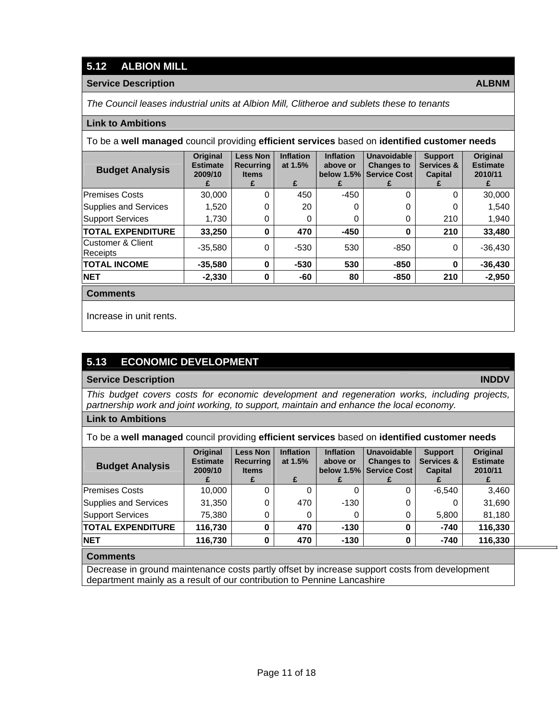## **5.12 ALBION MILL**

### **Service Description ALBNM**

*The Council leases industrial units at Albion Mill, Clitheroe and sublets these to tenants* 

### **Link to Ambitions**

To be a **well managed** council providing **efficient services** based on **identified customer needs**

| <b>Budget Analysis</b>               | Original<br><b>Estimate</b><br>2009/10 | <b>Less Non</b><br><b>Recurring</b><br><b>Items</b> | <b>Inflation</b><br>at 1.5%<br>£ | <b>Inflation</b><br>above or<br>below $1.5\%$ | Unavoidable<br><b>Changes to</b><br><b>Service Cost</b> | <b>Support</b><br><b>Services &amp;</b><br><b>Capital</b> | <b>Original</b><br><b>Estimate</b><br>2010/11 |
|--------------------------------------|----------------------------------------|-----------------------------------------------------|----------------------------------|-----------------------------------------------|---------------------------------------------------------|-----------------------------------------------------------|-----------------------------------------------|
| <b>Premises Costs</b>                | 30,000                                 | 0                                                   | 450                              | $-450$                                        | 0                                                       | 0                                                         | 30,000                                        |
| Supplies and Services                | 1,520                                  | 0                                                   | 20                               | 0                                             | 0                                                       | 0                                                         | 1,540                                         |
| <b>Support Services</b>              | 1,730                                  | 0                                                   | 0                                | 0                                             | 0                                                       | 210                                                       | 1,940                                         |
| <b>TOTAL EXPENDITURE</b>             | 33,250                                 | $\bf{0}$                                            | 470                              | $-450$                                        | 0                                                       | 210                                                       | 33,480                                        |
| Customer & Client<br><b>Receipts</b> | $-35,580$                              | 0                                                   | $-530$                           | 530                                           | $-850$                                                  | 0                                                         | $-36,430$                                     |
| <b>TOTAL INCOME</b>                  | $-35,580$                              | 0                                                   | $-530$                           | 530                                           | $-850$                                                  | 0                                                         | $-36,430$                                     |
| <b>NET</b>                           | $-2,330$                               | 0                                                   | -60                              | 80                                            | $-850$                                                  | 210                                                       | $-2,950$                                      |

**Comments** 

Increase in unit rents.

# **5.13 ECONOMIC DEVELOPMENT**

### **Service Description INDDV**

### *This budget covers costs for economic development and regeneration works, including projects, partnership work and joint working, to support, maintain and enhance the local economy.*

**Link to Ambitions**

To be a **well managed** council providing **efficient services** based on **identified customer needs**

| <b>Budget Analysis</b>   | <b>Original</b><br><b>Estimate</b><br>2009/10 | <b>Less Non</b><br><b>Recurring</b><br><b>Items</b> | <b>Inflation</b><br>at 1.5%<br>£ | <b>Inflation</b><br>above or | <b>Unavoidable</b><br><b>Changes to</b><br>below 1.5% Service Cost | <b>Support</b><br>Services &<br><b>Capital</b> | Original<br><b>Estimate</b><br>2010/11 |
|--------------------------|-----------------------------------------------|-----------------------------------------------------|----------------------------------|------------------------------|--------------------------------------------------------------------|------------------------------------------------|----------------------------------------|
| <b>Premises Costs</b>    | 10,000                                        | 0                                                   |                                  |                              | 0                                                                  | $-6.540$                                       | 3,460                                  |
| Supplies and Services    | 31,350                                        | 0                                                   | 470                              | $-130$                       | 0                                                                  |                                                | 31,690                                 |
| <b>Support Services</b>  | 75.380                                        | 0                                                   |                                  |                              | 0                                                                  | 5,800                                          | 81,180                                 |
| <b>TOTAL EXPENDITURE</b> | 116,730                                       | $\bf{0}$                                            | 470                              | $-130$                       | 0                                                                  | $-740$                                         | 116,330                                |
| <b>NET</b>               | 116,730                                       | 0                                                   | 470                              | $-130$                       | 0                                                                  | $-740$                                         | 116,330                                |

### **Comments**

Decrease in ground maintenance costs partly offset by increase support costs from development department mainly as a result of our contribution to Pennine Lancashire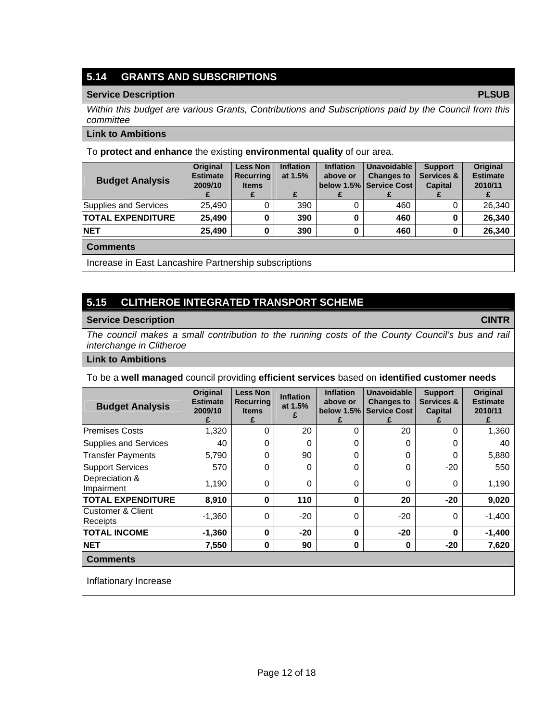# **5.14 GRANTS AND SUBSCRIPTIONS**

### **Service Description PLSUB**

*Within this budget are various Grants, Contributions and Subscriptions paid by the Council from this committee* 

### **Link to Ambitions**

To **protect and enhance** the existing **environmental quality** of our area.

| <b>Budget Analysis</b>   | <b>Original</b><br><b>Estimate</b><br>2009/10 | <b>Less Non</b><br><b>Recurring</b><br><b>Items</b> | <b>Inflation</b><br>at 1.5% | <b>Inflation</b><br>above or | <b>Unavoidable</b><br><b>Changes to</b><br>below 1.5% Service Cost | <b>Support</b><br>Services &<br><b>Capital</b> | <b>Original</b><br><b>Estimate</b><br>2010/11<br>z. |
|--------------------------|-----------------------------------------------|-----------------------------------------------------|-----------------------------|------------------------------|--------------------------------------------------------------------|------------------------------------------------|-----------------------------------------------------|
| Supplies and Services    | 25.490                                        |                                                     | 390                         |                              | 460                                                                |                                                | 26.340                                              |
| <b>TOTAL EXPENDITURE</b> | 25.490                                        |                                                     | 390                         |                              | 460                                                                |                                                | 26,340                                              |
| <b>NET</b>               | 25.490                                        | 0                                                   | 390                         |                              | 460                                                                |                                                | 26.340                                              |

**Comments** 

Increase in East Lancashire Partnership subscriptions

# **5.15 CLITHEROE INTEGRATED TRANSPORT SCHEME**

### **Service Description CINTR**

*The council makes a small contribution to the running costs of the County Council's bus and rail interchange in Clitheroe* 

### **Link to Ambitions**

To be a **well managed** council providing **efficient services** based on **identified customer needs** 

| <b>Budget Analysis</b>                | Original<br><b>Estimate</b><br>2009/10<br>£ | <b>Less Non</b><br><b>Recurring</b><br><b>Items</b><br>£ | <b>Inflation</b><br>at 1.5% | <b>Inflation</b><br>above or<br>below 1.5%<br>£ | Unavoidable<br><b>Changes to</b><br><b>Service Cost</b> | <b>Support</b><br>Services &<br>Capital | Original<br><b>Estimate</b><br>2010/11 |
|---------------------------------------|---------------------------------------------|----------------------------------------------------------|-----------------------------|-------------------------------------------------|---------------------------------------------------------|-----------------------------------------|----------------------------------------|
| <b>Premises Costs</b>                 | 1,320                                       | 0                                                        | 20                          | $\Omega$                                        | 20                                                      | 0                                       | 1,360                                  |
| Supplies and Services                 | 40                                          | 0                                                        | 0                           | 0                                               | 0                                                       | 0                                       | 40                                     |
| Transfer Payments                     | 5,790                                       | 0                                                        | 90                          | 0                                               | 0                                                       | 0                                       | 5,880                                  |
| <b>Support Services</b>               | 570                                         | 0                                                        | 0                           | $\Omega$                                        | 0                                                       | $-20$                                   | 550                                    |
| Depreciation &<br>Impairment          | 1,190                                       | $\Omega$                                                 | 0                           | $\Omega$                                        | 0                                                       | $\Omega$                                | 1,190                                  |
| <b>TOTAL EXPENDITURE</b>              | 8,910                                       | $\bf{0}$                                                 | 110                         | $\bf{0}$                                        | 20                                                      | $-20$                                   | 9,020                                  |
| lCustomer & Client<br><b>Receipts</b> | $-1,360$                                    | $\Omega$                                                 | $-20$                       | $\Omega$                                        | $-20$                                                   | $\Omega$                                | $-1,400$                               |
| <b>TOTAL INCOME</b>                   | $-1,360$                                    | $\bf{0}$                                                 | $-20$                       | $\bf{0}$                                        | $-20$                                                   | 0                                       | $-1,400$                               |
| <b>NET</b>                            | 7,550                                       | $\mathbf 0$                                              | 90                          | 0                                               | 0                                                       | $-20$                                   | 7,620                                  |
| <b>Comments</b>                       |                                             |                                                          |                             |                                                 |                                                         |                                         |                                        |

Inflationary Increase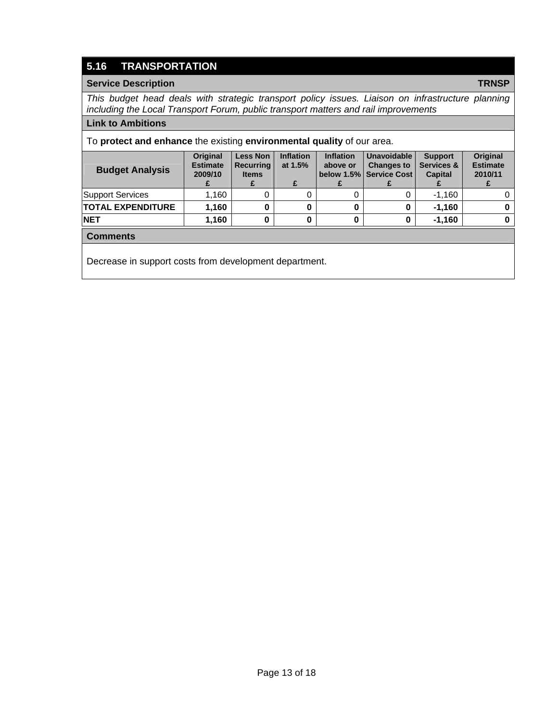# **5.16 TRANSPORTATION**

### **Service Description TRNSP**

*This budget head deals with strategic transport policy issues. Liaison on infrastructure planning including the Local Transport Forum, public transport matters and rail improvements* 

#### **Link to Ambitions**

To **protect and enhance** the existing **environmental quality** of our area.

| <b>Budget Analysis</b>   | <b>Original</b><br><b>Estimate</b><br>2009/10 | <b>Less Non</b><br><b>Recurring</b><br><b>Items</b> | <b>Inflation</b><br>at $1.5%$ | <b>Inflation</b><br>above or | <b>Unavoidable</b><br><b>Changes to</b><br>below 1.5% Service Cost | <b>Support</b><br>Services &<br><b>Capital</b> | <b>Original</b><br><b>Estimate</b><br>2010/11 |
|--------------------------|-----------------------------------------------|-----------------------------------------------------|-------------------------------|------------------------------|--------------------------------------------------------------------|------------------------------------------------|-----------------------------------------------|
| <b>Support Services</b>  | 1.160                                         |                                                     |                               |                              |                                                                    | $-1.160$                                       |                                               |
| <b>TOTAL EXPENDITURE</b> | 1.160                                         |                                                     |                               |                              |                                                                    | $-1.160$                                       |                                               |
| <b>NET</b>               | 1.160                                         |                                                     |                               |                              |                                                                    | $-1.160$                                       |                                               |
|                          |                                               |                                                     |                               |                              |                                                                    |                                                |                                               |

### **Comments**

Decrease in support costs from development department.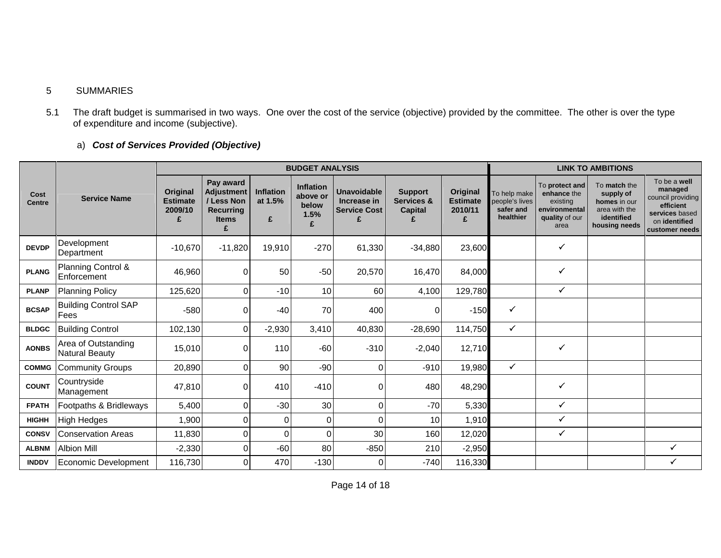### 5 SUMMARIES

5.1 The draft budget is summarised in two ways. One over the cost of the service (objective) provided by the committee. The other is over the type of expenditure and income (subjective).

## a) *Cost of Services Provided (Objective)*

|                       |                                              |                                             |                                                                                |                           | <b>BUDGET ANALYSIS</b>                             |                                                               |                                                |                                             |                                                          |                                                                                      | <b>LINK TO AMBITIONS</b>                                                                  |                                                                                                                |
|-----------------------|----------------------------------------------|---------------------------------------------|--------------------------------------------------------------------------------|---------------------------|----------------------------------------------------|---------------------------------------------------------------|------------------------------------------------|---------------------------------------------|----------------------------------------------------------|--------------------------------------------------------------------------------------|-------------------------------------------------------------------------------------------|----------------------------------------------------------------------------------------------------------------|
| Cost<br><b>Centre</b> | <b>Service Name</b>                          | Original<br><b>Estimate</b><br>2009/10<br>£ | Pay award<br><b>Adjustment</b><br>/ Less Non<br>Recurring<br><b>Items</b><br>£ | Inflation<br>at 1.5%<br>£ | <b>Inflation</b><br>above or<br>below<br>1.5%<br>£ | <b>Unavoidable</b><br>Increase in<br><b>Service Cost</b><br>£ | <b>Support</b><br>Services &<br><b>Capital</b> | Original<br><b>Estimate</b><br>2010/11<br>£ | To help make<br>people's lives<br>safer and<br>healthier | To protect and<br>enhance the<br>existing<br>environmental<br>quality of our<br>area | To match the<br>supply of<br>homes in our<br>area with the<br>identified<br>housing needs | To be a well<br>managed<br>council providing<br>efficient<br>services based<br>on identified<br>customer needs |
| <b>DEVDP</b>          | Development<br>Department                    | $-10,670$                                   | $-11,820$                                                                      | 19,910                    | $-270$                                             | 61,330                                                        | $-34,880$                                      | 23,600                                      |                                                          | $\checkmark$                                                                         |                                                                                           |                                                                                                                |
| <b>PLANG</b>          | Planning Control &<br>Enforcement            | 46,960                                      | 0                                                                              | 50                        | $-50$                                              | 20,570                                                        | 16,470                                         | 84,000                                      |                                                          | ✓                                                                                    |                                                                                           |                                                                                                                |
| <b>PLANP</b>          | <b>Planning Policy</b>                       | 125,620                                     | $\Omega$                                                                       | $-10$                     | 10                                                 | 60                                                            | 4,100                                          | 129,780                                     |                                                          | ✓                                                                                    |                                                                                           |                                                                                                                |
| <b>BCSAP</b>          | <b>Building Control SAP</b><br><b>Fees</b>   | $-580$                                      | $\Omega$                                                                       | $-40$                     | 70                                                 | 400                                                           | 0                                              | $-150$                                      | ✓                                                        |                                                                                      |                                                                                           |                                                                                                                |
| <b>BLDGC</b>          | <b>Building Control</b>                      | 102,130                                     | $\Omega$                                                                       | $-2,930$                  | 3,410                                              | 40,830                                                        | $-28,690$                                      | 114,750                                     | ✓                                                        |                                                                                      |                                                                                           |                                                                                                                |
| <b>AONBS</b>          | Area of Outstanding<br><b>Natural Beauty</b> | 15,010                                      | 0                                                                              | 110                       | $-60$                                              | $-310$                                                        | $-2,040$                                       | 12,710                                      |                                                          | ✓                                                                                    |                                                                                           |                                                                                                                |
| <b>COMMG</b>          | Community Groups                             | 20,890                                      | 0                                                                              | 90                        | $-90$                                              | 0                                                             | $-910$                                         | 19,980                                      | $\checkmark$                                             |                                                                                      |                                                                                           |                                                                                                                |
| <b>COUNT</b>          | Countryside<br>Management                    | 47,810                                      | $\Omega$                                                                       | 410                       | $-410$                                             | 0                                                             | 480                                            | 48,290                                      |                                                          | ✓                                                                                    |                                                                                           |                                                                                                                |
| <b>FPATH</b>          | Footpaths & Bridleways                       | 5,400                                       | 0                                                                              | $-30$                     | 30                                                 | $\Omega$                                                      | $-70$                                          | 5,330                                       |                                                          | ✓                                                                                    |                                                                                           |                                                                                                                |
| <b>HIGHH</b>          | <b>High Hedges</b>                           | 1,900                                       | $\Omega$                                                                       | 0                         | 0                                                  | $\Omega$                                                      | 10                                             | 1,910                                       |                                                          | ✓                                                                                    |                                                                                           |                                                                                                                |
| <b>CONSV</b>          | <b>Conservation Areas</b>                    | 11,830                                      | 0                                                                              | 0                         | U                                                  | 30                                                            | 160                                            | 12,020                                      |                                                          | ✓                                                                                    |                                                                                           |                                                                                                                |
| <b>ALBNM</b>          | <b>Albion Mill</b>                           | $-2,330$                                    | $\Omega$                                                                       | $-60$                     | 80                                                 | $-850$                                                        | 210                                            | $-2,950$                                    |                                                          |                                                                                      |                                                                                           | $\checkmark$                                                                                                   |
| <b>INDDV</b>          | Economic Development                         | 116,730                                     | 0                                                                              | 470                       | $-130$                                             | 0                                                             | $-740$                                         | 116,330                                     |                                                          |                                                                                      |                                                                                           | $\checkmark$                                                                                                   |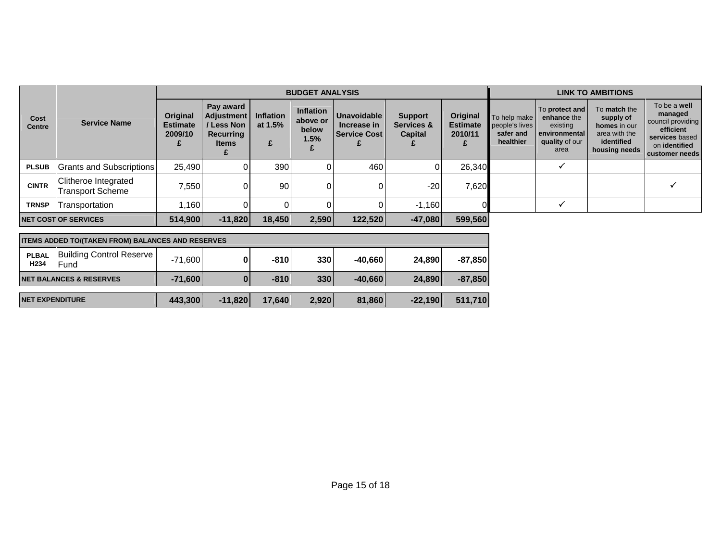|                       |                                          |                                        | <b>BUDGET ANALYSIS</b>                                                         |                                  |                                               |                                                          |                                                |                                        |                                                          | <b>LINK TO AMBITIONS</b>                                                                      |                                                                                           |                                                                                                                |
|-----------------------|------------------------------------------|----------------------------------------|--------------------------------------------------------------------------------|----------------------------------|-----------------------------------------------|----------------------------------------------------------|------------------------------------------------|----------------------------------------|----------------------------------------------------------|-----------------------------------------------------------------------------------------------|-------------------------------------------------------------------------------------------|----------------------------------------------------------------------------------------------------------------|
| Cost<br><b>Centre</b> | <b>Service Name</b>                      | Original<br><b>Estimate</b><br>2009/10 | Pay award<br><b>Adjustment</b><br>/ Less Non<br>Recurring<br><b>Items</b><br>£ | <b>Inflation</b><br>at 1.5%<br>£ | <b>Inflation</b><br>above or<br>below<br>1.5% | <b>Unavoidable</b><br>Increase in<br><b>Service Cost</b> | <b>Support</b><br>Services &<br><b>Capital</b> | Original<br><b>Estimate</b><br>2010/11 | To help make<br>people's lives<br>safer and<br>healthier | <b>To protect and</b><br>enhance the<br>existing<br>l environmental<br>quality of our<br>area | To match the<br>supply of<br>homes in our<br>area with the<br>identified<br>housing needs | To be a well<br>managed<br>council providing<br>efficient<br>services based<br>on identified<br>customer needs |
| <b>PLSUB</b>          | Grants and Subscriptions                 | 25,490                                 | 0                                                                              | 390                              |                                               | 460                                                      | $\overline{0}$                                 | 26,340                                 |                                                          |                                                                                               |                                                                                           |                                                                                                                |
| <b>CINTR</b>          | Clitheroe Integrated<br>Transport Scheme | 7,550                                  | 0                                                                              | 90                               |                                               |                                                          | $-20$                                          | 7,620                                  |                                                          |                                                                                               |                                                                                           |                                                                                                                |
| <b>TRNSP</b>          | Transportation                           | .160                                   |                                                                                |                                  |                                               |                                                          | $-1,160$                                       |                                        |                                                          |                                                                                               |                                                                                           |                                                                                                                |
|                       | <b>NET COST OF SERVICES</b>              | 514,900                                | $-11,820$                                                                      | 18,450                           | 2,590                                         | 122,520                                                  | $-47,080$                                      | 599,560                                |                                                          |                                                                                               |                                                                                           |                                                                                                                |

| <b>ITEMS ADDED TO/(TAKEN FROM) BALANCES AND RESERVES</b> |                                          |           |           |        |       |           |           |           |
|----------------------------------------------------------|------------------------------------------|-----------|-----------|--------|-------|-----------|-----------|-----------|
| <b>PLBAL</b><br>H234                                     | <b>Building Control Reserve</b><br>IFund | $-71,600$ | 0         | $-810$ | 330   | $-40.660$ | 24.890    | $-87,850$ |
|                                                          | <b>INET BALANCES &amp; RESERVES</b>      | $-71.600$ |           | $-810$ | 330   | $-40,660$ | 24,890    | $-87,850$ |
| <b>INET EXPENDITURE</b>                                  |                                          | 443,300   | $-11,820$ | 17,640 | 2,920 | 81,860    | $-22,190$ | 511,710   |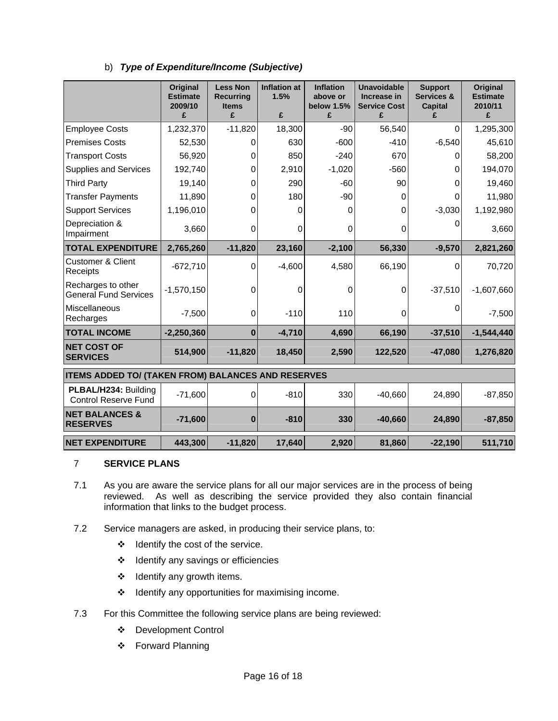|                                                     | <b>Original</b><br><b>Estimate</b><br>2009/10 | <b>Less Non</b><br><b>Recurring</b><br><b>Items</b> | <b>Inflation at</b><br>1.5%<br>£ | <b>Inflation</b><br>above or<br>below 1.5% | <b>Unavoidable</b><br>Increase in<br><b>Service Cost</b> | <b>Support</b><br>Services &<br><b>Capital</b><br>£ | Original<br><b>Estimate</b><br>2010/11 |
|-----------------------------------------------------|-----------------------------------------------|-----------------------------------------------------|----------------------------------|--------------------------------------------|----------------------------------------------------------|-----------------------------------------------------|----------------------------------------|
|                                                     | £                                             | £<br>$-11,820$                                      | 18,300                           | £<br>$-90$                                 | £<br>56,540                                              | $\Omega$                                            | £                                      |
| <b>Employee Costs</b>                               | 1,232,370                                     |                                                     |                                  |                                            |                                                          |                                                     | 1,295,300                              |
| <b>Premises Costs</b>                               | 52,530                                        | 0                                                   | 630                              | $-600$                                     | $-410$                                                   | $-6,540$                                            | 45,610                                 |
| <b>Transport Costs</b>                              | 56,920                                        | 0                                                   | 850                              | $-240$                                     | 670                                                      | 0                                                   | 58,200                                 |
| <b>Supplies and Services</b>                        | 192,740                                       | 0                                                   | 2,910                            | $-1,020$                                   | $-560$                                                   | 0                                                   | 194,070                                |
| <b>Third Party</b>                                  | 19,140                                        | $\Omega$                                            | 290                              | $-60$                                      | 90                                                       | 0                                                   | 19,460                                 |
| <b>Transfer Payments</b>                            | 11,890                                        | 0                                                   | 180                              | $-90$                                      | 0                                                        | 0                                                   | 11,980                                 |
| <b>Support Services</b>                             | 1,196,010                                     | 0                                                   | 0                                | 0                                          | 0                                                        | $-3,030$                                            | 1,192,980                              |
| Depreciation &<br>Impairment                        | 3,660                                         | $\mathbf 0$                                         | 0                                | 0                                          | 0                                                        | 0                                                   | 3,660                                  |
| <b>TOTAL EXPENDITURE</b>                            | 2,765,260                                     | $-11,820$                                           | 23,160                           | $-2,100$                                   | 56,330                                                   | $-9,570$                                            | 2,821,260                              |
| <b>Customer &amp; Client</b><br>Receipts            | $-672,710$                                    | 0                                                   | $-4,600$                         | 4,580                                      | 66,190                                                   | 0                                                   | 70,720                                 |
| Recharges to other<br><b>General Fund Services</b>  | $-1,570,150$                                  | $\mathbf 0$                                         | 0                                | 0                                          | 0                                                        | $-37,510$                                           | $-1,607,660$                           |
| Miscellaneous<br>Recharges                          | $-7,500$                                      | 0                                                   | $-110$                           | 110                                        | 0                                                        | 0                                                   | $-7,500$                               |
| <b>TOTAL INCOME</b>                                 | $-2,250,360$                                  | $\bf{0}$                                            | $-4,710$                         | 4,690                                      | 66,190                                                   | $-37,510$                                           | $-1,544,440$                           |
| <b>NET COST OF</b><br><b>SERVICES</b>               | 514,900                                       | $-11,820$                                           | 18,450                           | 2,590                                      | 122,520                                                  | $-47,080$                                           | 1,276,820                              |
| ITEMS ADDED TO/ (TAKEN FROM) BALANCES AND RESERVES  |                                               |                                                     |                                  |                                            |                                                          |                                                     |                                        |
| PLBAL/H234: Building<br><b>Control Reserve Fund</b> | $-71,600$                                     | $\mathbf 0$                                         | $-810$                           | 330                                        | $-40,660$                                                | 24,890                                              | $-87,850$                              |
| <b>NET BALANCES &amp;</b><br><b>RESERVES</b>        | $-71,600$                                     | $\bf{0}$                                            | $-810$                           | 330                                        | $-40,660$                                                | 24,890                                              | $-87,850$                              |
| <b>NET EXPENDITURE</b>                              | 443,300                                       | $-11,820$                                           | 17,640                           | 2,920                                      | 81,860                                                   | $-22,190$                                           | 511,710                                |

### 7 **SERVICE PLANS**

- 7.1 As you are aware the service plans for all our major services are in the process of being reviewed. As well as describing the service provided they also contain financial information that links to the budget process.
- 7.2 Service managers are asked, in producing their service plans, to:
	- $\div$  Identify the cost of the service.
	- ❖ Identify any savings or efficiencies
	- ❖ Identify any growth items.
	- $\div$  Identify any opportunities for maximising income.
- 7.3 For this Committee the following service plans are being reviewed:
	- Development Control
	- Forward Planning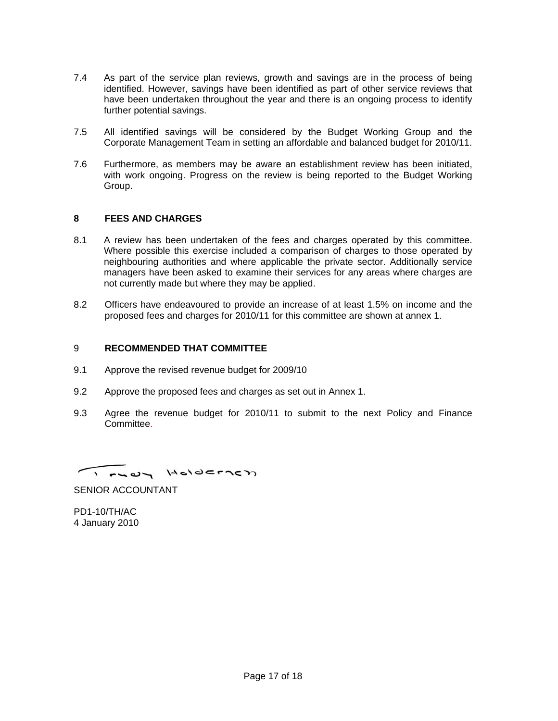- 7.4 As part of the service plan reviews, growth and savings are in the process of being identified. However, savings have been identified as part of other service reviews that have been undertaken throughout the year and there is an ongoing process to identify further potential savings.
- 7.5 All identified savings will be considered by the Budget Working Group and the Corporate Management Team in setting an affordable and balanced budget for 2010/11.
- 7.6 Furthermore, as members may be aware an establishment review has been initiated, with work ongoing. Progress on the review is being reported to the Budget Working Group.

### **8 FEES AND CHARGES**

- 8.1 A review has been undertaken of the fees and charges operated by this committee. Where possible this exercise included a comparison of charges to those operated by neighbouring authorities and where applicable the private sector. Additionally service managers have been asked to examine their services for any areas where charges are not currently made but where they may be applied.
- 8.2 Officers have endeavoured to provide an increase of at least 1.5% on income and the proposed fees and charges for 2010/11 for this committee are shown at annex 1.

#### 9 **RECOMMENDED THAT COMMITTEE**

- 9.1 Approve the revised revenue budget for 2009/10
- 9.2 Approve the proposed fees and charges as set out in Annex 1.
- 9.3 Agree the revenue budget for 2010/11 to submit to the next Policy and Finance Committee.

I FUOL HOLDEFTED

SENIOR ACCOUNTANT

PD1-10/TH/AC 4 January 2010